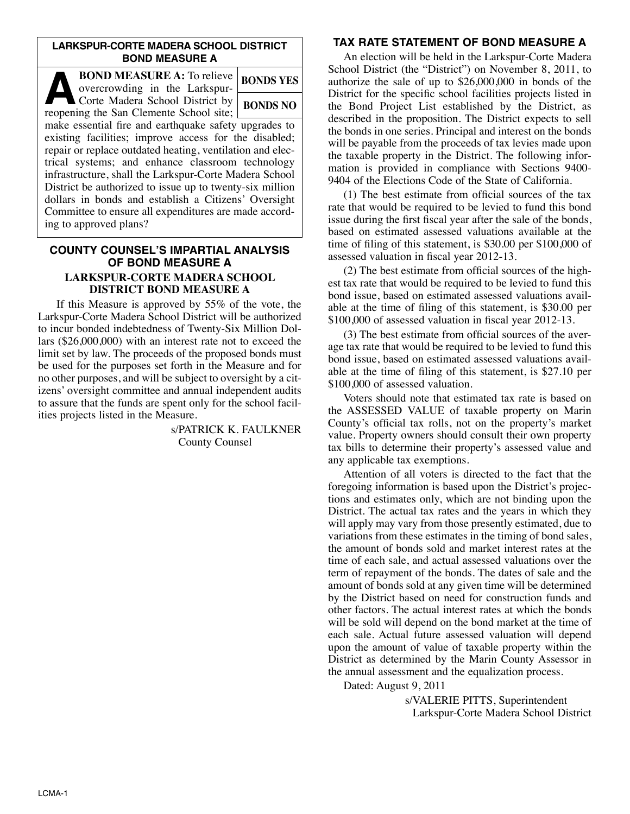### **LARKSPUR-CORTE MADERA SCHOOL DISTRICT BOND MEASURE A**

| <b>BOND MEASURE A: To relieve</b><br>overcrowding in the Larkspur-                                                                                                                                                                                                                                                                                                                                            | <b>BONDS YES</b> |
|---------------------------------------------------------------------------------------------------------------------------------------------------------------------------------------------------------------------------------------------------------------------------------------------------------------------------------------------------------------------------------------------------------------|------------------|
| Corte Madera School District by<br>reopening the San Clemente School site;                                                                                                                                                                                                                                                                                                                                    | <b>BONDS NO</b>  |
| make essential fire and earthquake safety upgrades to<br>existing facilities; improve access for the disabled;<br>repair or replace outdated heating, ventilation and elec-<br>trical systems; and enhance classroom technology<br>infrastructure, shall the Larkspur-Corte Madera School<br>District be authorized to issue up to twenty-six million<br>dollars in bonds and establish a Citizens' Oversight |                  |
| Committee to ensure all expenditures are made accord-<br>ing to approved plans?                                                                                                                                                                                                                                                                                                                               |                  |

### **COUNTY COUNSEL'S IMPARTIAL ANALYSIS OF BOND MEASURE A LARKSPUR-CORTE MADERA SCHOOL DISTRICT BOND MEASURE A**

 If this Measure is approved by 55% of the vote, the Larkspur-Corte Madera School District will be authorized to incur bonded indebtedness of Twenty-Six Million Dollars (\$26,000,000) with an interest rate not to exceed the limit set by law. The proceeds of the proposed bonds must be used for the purposes set forth in the Measure and for no other purposes, and will be subject to oversight by a citizens' oversight committee and annual independent audits to assure that the funds are spent only for the school facilities projects listed in the Measure.

> s/PATRICK K. FAULKNER County Counsel

# **TAX RATE STATEMENT OF BOND MEASURE A**

 An election will be held in the Larkspur-Corte Madera School District (the "District") on November 8, 2011, to authorize the sale of up to \$26,000,000 in bonds of the District for the specific school facilities projects listed in the Bond Project List established by the District, as described in the proposition. The District expects to sell the bonds in one series. Principal and interest on the bonds will be payable from the proceeds of tax levies made upon the taxable property in the District. The following information is provided in compliance with Sections 9400- 9404 of the Elections Code of the State of California.

 (1) The best estimate from official sources of the tax rate that would be required to be levied to fund this bond issue during the first fiscal year after the sale of the bonds, based on estimated assessed valuations available at the time of filing of this statement, is \$30.00 per \$100,000 of assessed valuation in fiscal year 2012-13.

 (2) The best estimate from official sources of the highest tax rate that would be required to be levied to fund this bond issue, based on estimated assessed valuations available at the time of filing of this statement, is \$30.00 per \$100,000 of assessed valuation in fiscal year 2012-13.

 (3) The best estimate from official sources of the average tax rate that would be required to be levied to fund this bond issue, based on estimated assessed valuations available at the time of filing of this statement, is \$27.10 per \$100,000 of assessed valuation.

 Voters should note that estimated tax rate is based on the ASSESSED VALUE of taxable property on Marin County's official tax rolls, not on the property's market value. Property owners should consult their own property tax bills to determine their property's assessed value and any applicable tax exemptions.

 Attention of all voters is directed to the fact that the foregoing information is based upon the District's projections and estimates only, which are not binding upon the District. The actual tax rates and the years in which they will apply may vary from those presently estimated, due to variations from these estimates in the timing of bond sales, the amount of bonds sold and market interest rates at the time of each sale, and actual assessed valuations over the term of repayment of the bonds. The dates of sale and the amount of bonds sold at any given time will be determined by the District based on need for construction funds and other factors. The actual interest rates at which the bonds will be sold will depend on the bond market at the time of each sale. Actual future assessed valuation will depend upon the amount of value of taxable property within the District as determined by the Marin County Assessor in the annual assessment and the equalization process.

Dated: August 9, 2011

s/VALERIE PITTS, Superintendent Larkspur-Corte Madera School District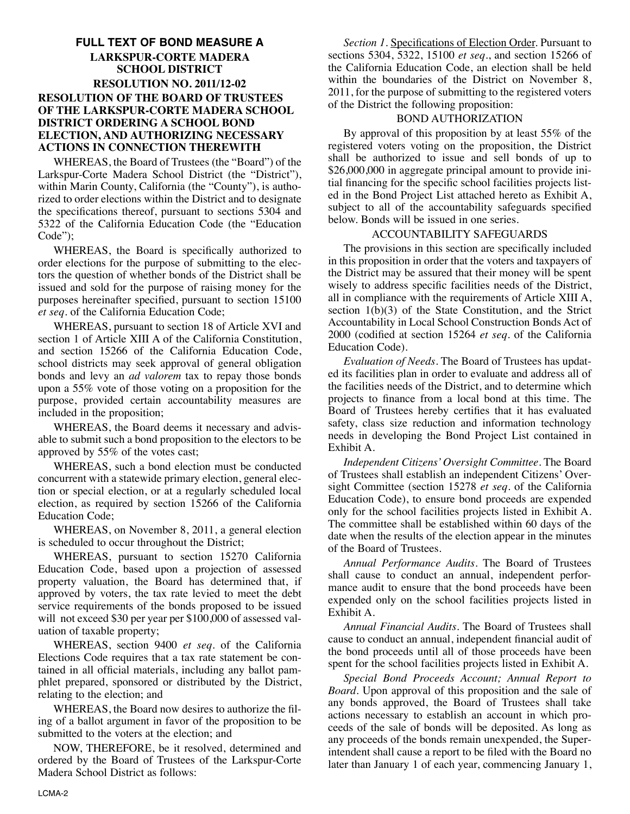# **FULL TEXT OF BOND MEASURE A LARKSPUR-CORTE MADERA SCHOOL DISTRICT RESOLUTION NO. 2011/12-02 RESOLUTION OF THE BOARD OF TRUSTEES OF THE LARKSPUR-CORTE MADERA SCHOOL DISTRICT ORDERING A SCHOOL BOND ELECTION, AND AUTHORIZING NECESSARY ACTIONS IN CONNECTION THEREWITH**

 WHEREAS, the Board of Trustees (the "Board") of the Larkspur-Corte Madera School District (the "District"), within Marin County, California (the "County"), is authorized to order elections within the District and to designate the specifications thereof, pursuant to sections 5304 and 5322 of the California Education Code (the "Education Code");

 WHEREAS, the Board is specifically authorized to order elections for the purpose of submitting to the electors the question of whether bonds of the District shall be issued and sold for the purpose of raising money for the purposes hereinafter specified, pursuant to section 15100 *et seq*. of the California Education Code;

 WHEREAS, pursuant to section 18 of Article XVI and section 1 of Article XIII A of the California Constitution, and section 15266 of the California Education Code, school districts may seek approval of general obligation bonds and levy an *ad valorem* tax to repay those bonds upon a 55% vote of those voting on a proposition for the purpose, provided certain accountability measures are included in the proposition;

 WHEREAS, the Board deems it necessary and advisable to submit such a bond proposition to the electors to be approved by 55% of the votes cast;

 WHEREAS, such a bond election must be conducted concurrent with a statewide primary election, general election or special election, or at a regularly scheduled local election, as required by section 15266 of the California Education Code;

 WHEREAS, on November 8, 2011, a general election is scheduled to occur throughout the District;

 WHEREAS, pursuant to section 15270 California Education Code, based upon a projection of assessed property valuation, the Board has determined that, if approved by voters, the tax rate levied to meet the debt service requirements of the bonds proposed to be issued will not exceed \$30 per year per \$100,000 of assessed valuation of taxable property;

 WHEREAS, section 9400 *et seq.* of the California Elections Code requires that a tax rate statement be contained in all official materials, including any ballot pamphlet prepared, sponsored or distributed by the District, relating to the election; and

 WHEREAS, the Board now desires to authorize the filing of a ballot argument in favor of the proposition to be submitted to the voters at the election; and

 NOW, THEREFORE, be it resolved, determined and ordered by the Board of Trustees of the Larkspur-Corte Madera School District as follows:

 *Section 1*. Specifications of Election Order. Pursuant to sections 5304, 5322, 15100 *et seq*., and section 15266 of the California Education Code, an election shall be held within the boundaries of the District on November 8, 2011, for the purpose of submitting to the registered voters of the District the following proposition:

### BOND AUTHORIZATION

 By approval of this proposition by at least 55% of the registered voters voting on the proposition, the District shall be authorized to issue and sell bonds of up to \$26,000,000 in aggregate principal amount to provide initial financing for the specific school facilities projects listed in the Bond Project List attached hereto as Exhibit A, subject to all of the accountability safeguards specified below. Bonds will be issued in one series.

#### ACCOUNTABILITY SAFEGUARDS

 The provisions in this section are specifically included in this proposition in order that the voters and taxpayers of the District may be assured that their money will be spent wisely to address specific facilities needs of the District, all in compliance with the requirements of Article XIII A, section 1(b)(3) of the State Constitution, and the Strict Accountability in Local School Construction Bonds Act of 2000 (codified at section 15264 *et seq*. of the California Education Code).

 *Evaluation of Needs*. The Board of Trustees has updated its facilities plan in order to evaluate and address all of the facilities needs of the District, and to determine which projects to finance from a local bond at this time. The Board of Trustees hereby certifies that it has evaluated safety, class size reduction and information technology needs in developing the Bond Project List contained in Exhibit A.

 *Independent Citizens' Oversight Committee*. The Board of Trustees shall establish an independent Citizens' Over sight Committee (section 15278 *et seq*. of the California Education Code), to ensure bond proceeds are expended only for the school facilities projects listed in Exhibit A. The committee shall be established within 60 days of the date when the results of the election appear in the minutes of the Board of Trustees.

 *Annual Performance Audits*. The Board of Trustees shall cause to conduct an annual, independent performance audit to ensure that the bond proceeds have been expended only on the school facilities projects listed in Exhibit A.

 *Annual Financial Audits*. The Board of Trustees shall cause to conduct an annual, independent financial audit of the bond proceeds until all of those proceeds have been spent for the school facilities projects listed in Exhibit A.

 *Special Bond Proceeds Account; Annual Report to Board*. Upon approval of this proposition and the sale of any bonds approved, the Board of Trustees shall take actions necessary to establish an account in which proceeds of the sale of bonds will be deposited. As long as any proceeds of the bonds remain unexpended, the Superintendent shall cause a report to be filed with the Board no later than January 1 of each year, commencing January 1,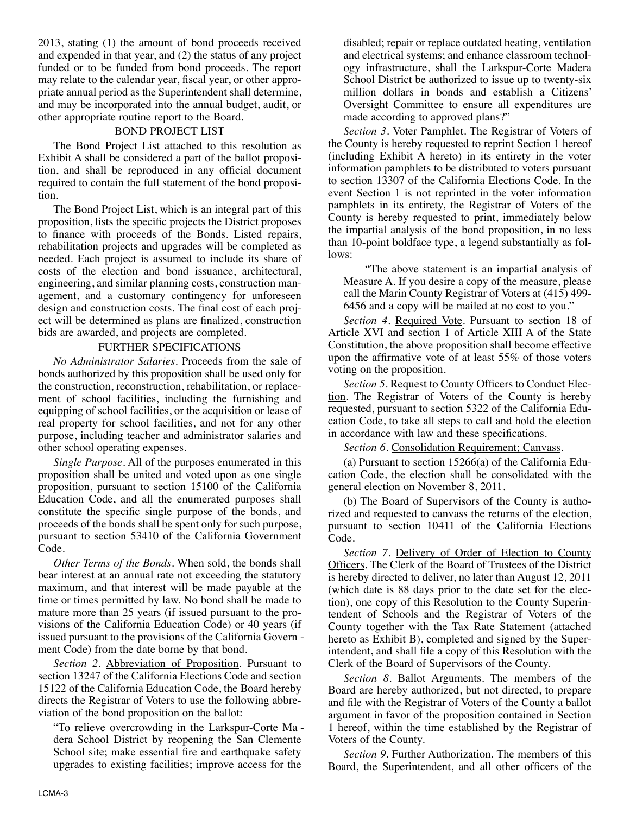2013, stating (1) the amount of bond proceeds received and expended in that year, and (2) the status of any project funded or to be funded from bond proceeds. The report may relate to the calendar year, fiscal year, or other appropriate annual period as the Superintendent shall determine, and may be incorporated into the annual budget, audit, or other appropriate routine report to the Board.

#### BOND PROJECT LIST

 The Bond Project List attached to this resolution as Exhibit A shall be considered a part of the ballot proposition, and shall be reproduced in any official document required to contain the full statement of the bond proposition.

 The Bond Project List, which is an integral part of this proposition, lists the specific projects the District proposes to finance with proceeds of the Bonds. Listed repairs, rehabilitation projects and upgrades will be completed as needed. Each project is assumed to include its share of costs of the election and bond issuance, architectural, engineering, and similar planning costs, construction management, and a customary contingency for unforeseen design and construction costs. The final cost of each project will be determined as plans are finalized, construction bids are awarded, and projects are completed.

#### FURTHER SPECIFICATIONS

 *No Administrator Salaries*. Proceeds from the sale of bonds authorized by this proposition shall be used only for the construction, reconstruction, rehabilitation, or replacement of school facilities, including the furnishing and equipping of school facilities, or the acquisition or lease of real property for school facilities, and not for any other purpose, including teacher and administrator salaries and other school operating expenses.

 *Single Purpose*. All of the purposes enumerated in this proposition shall be united and voted upon as one single proposition, pursuant to section 15100 of the California Education Code, and all the enumerated purposes shall constitute the specific single purpose of the bonds, and proceeds of the bonds shall be spent only for such purpose, pursuant to section 53410 of the California Government Code.

 *Other Terms of the Bonds*. When sold, the bonds shall bear interest at an annual rate not exceeding the statutory maximum, and that interest will be made payable at the time or times permitted by law. No bond shall be made to mature more than 25 years (if issued pursuant to the provisions of the California Education Code) or 40 years (if issued pursuant to the provisions of the California Govern ment Code) from the date borne by that bond.

 *Section 2*. Abbreviation of Proposition. Pursuant to section 13247 of the California Elections Code and section 15122 of the California Education Code, the Board hereby directs the Registrar of Voters to use the following abbreviation of the bond proposition on the ballot:

 "To relieve overcrowding in the Larkspur-Corte Ma dera School District by reopening the San Clemente School site; make essential fire and earthquake safety upgrades to existing facilities; improve access for the

disabled; repair or replace outdated heating, ventilation and electrical systems; and enhance classroom technology infrastructure, shall the Larkspur-Corte Madera School District be authorized to issue up to twenty-six million dollars in bonds and establish a Citizens' Oversight Committee to ensure all expenditures are made according to approved plans?"

 *Section 3*. Voter Pamphlet. The Registrar of Voters of the County is hereby requested to reprint Section 1 hereof (including Exhibit A hereto) in its entirety in the voter information pamphlets to be distributed to voters pursuant to section 13307 of the California Elections Code. In the event Section 1 is not reprinted in the voter information pamphlets in its entirety, the Registrar of Voters of the County is hereby requested to print, immediately below the impartial analysis of the bond proposition, in no less than 10-point boldface type, a legend substantially as follows:

 "The above statement is an impartial analysis of Measure A. If you desire a copy of the measure, please call the Marin County Registrar of Voters at (415) 499- 6456 and a copy will be mailed at no cost to you."

 *Section 4*. Required Vote. Pursuant to section 18 of Article XVI and section 1 of Article XIII A of the State Constitution, the above proposition shall become effective upon the affirmative vote of at least 55% of those voters voting on the proposition.

Section 5. Request to County Officers to Conduct Election. The Registrar of Voters of the County is hereby requested, pursuant to section 5322 of the California Edu cation Code, to take all steps to call and hold the election in accordance with law and these specifications.

*Section 6*. Consolidation Requirement; Canvass.

(a) Pursuant to section  $15266(a)$  of the California Education Code, the election shall be consolidated with the general election on November 8, 2011.

 (b) The Board of Supervisors of the County is authorized and requested to canvass the returns of the election, pursuant to section 10411 of the California Elections Code.

 *Section 7*. Delivery of Order of Election to County Officers. The Clerk of the Board of Trustees of the District is hereby directed to deliver, no later than August 12, 2011 (which date is 88 days prior to the date set for the election), one copy of this Resolution to the County Superintendent of Schools and the Registrar of Voters of the County together with the Tax Rate Statement (attached hereto as Exhibit B), completed and signed by the Superintendent, and shall file a copy of this Resolution with the Clerk of the Board of Supervisors of the County.

 *Section 8*. Ballot Arguments. The members of the Board are hereby authorized, but not directed, to prepare and file with the Registrar of Voters of the County a ballot argument in favor of the proposition contained in Section 1 hereof, within the time established by the Registrar of Voters of the County.

 *Section 9*. Further Authorization. The members of this Board, the Superintendent, and all other officers of the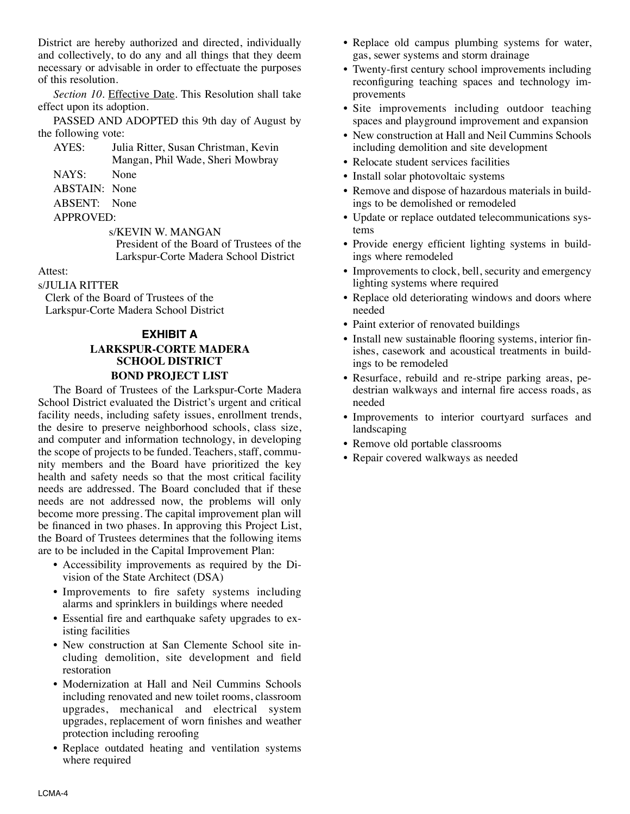District are hereby authorized and directed, individually and collectively, to do any and all things that they deem necessary or advisable in order to effectuate the purposes of this resolution.

 *Section 10*. Effective Date. This Resolution shall take effect upon its adoption.

 PASSED AND ADOPTED this 9th day of August by the following vote:

 AYES: Julia Ritter, Susan Christman, Kevin Mangan, Phil Wade, Sheri Mowbray NAYS: None

ABSTAIN: None

ABSENT: None

APPROVED:

s/KEVIN W. MANGAN

President of the Board of Trustees of the Larkspur-Corte Madera School District

#### Attest:

s/JULIA RITTER

Clerk of the Board of Trustees of the Larkspur-Corte Madera School District

### **EXHIBIT A**

# **LARKSPUR-CORTE MADERA SCHOOL DISTRICT BOND PROJECT LIST**

The Board of Trustees of the Larkspur-Corte Madera School District evaluated the District's urgent and critical facility needs, including safety issues, enrollment trends, the desire to preserve neighborhood schools, class size, and computer and information technology, in developing the scope of projects to be funded. Teachers, staff, community members and the Board have prioritized the key health and safety needs so that the most critical facility needs are addressed. The Board concluded that if these needs are not addressed now, the problems will only become more pressing. The capital improvement plan will be financed in two phases. In approving this Project List, the Board of Trustees determines that the following items are to be included in the Capital Improvement Plan:

- Accessibility improvements as required by the Division of the State Architect (DSA)
- Improvements to fire safety systems including alarms and sprinklers in buildings where needed
- Essential fire and earthquake safety upgrades to existing facilities
- New construction at San Clemente School site in cluding demolition, site development and field restoration
- Modernization at Hall and Neil Cummins Schools including renovated and new toilet rooms, classroom upgrades, mechanical and electrical system upgrades, replacement of worn finishes and weather protection including reroofing
- Replace outdated heating and ventilation systems where required
- Replace old campus plumbing systems for water, gas, sewer systems and storm drainage
- Twenty-first century school improvements including reconfiguring teaching spaces and technology improvements
- Site improvements including outdoor teaching spaces and playground improvement and expansion
- New construction at Hall and Neil Cummins Schools including demolition and site development
- Relocate student services facilities
- Install solar photovoltaic systems
- Remove and dispose of hazardous materials in buildings to be demolished or remodeled
- Update or replace outdated telecommunications systems
- Provide energy efficient lighting systems in buildings where remodeled
- Improvements to clock, bell, security and emergency lighting systems where required
- Replace old deteriorating windows and doors where needed
- Paint exterior of renovated buildings
- Install new sustainable flooring systems, interior finishes, casework and acoustical treatments in buildings to be remodeled
- Resurface, rebuild and re-stripe parking areas, pe destrian walkways and internal fire access roads, as needed
- Improvements to interior courtyard surfaces and landscaping
- Remove old portable classrooms
- Repair covered walkways as needed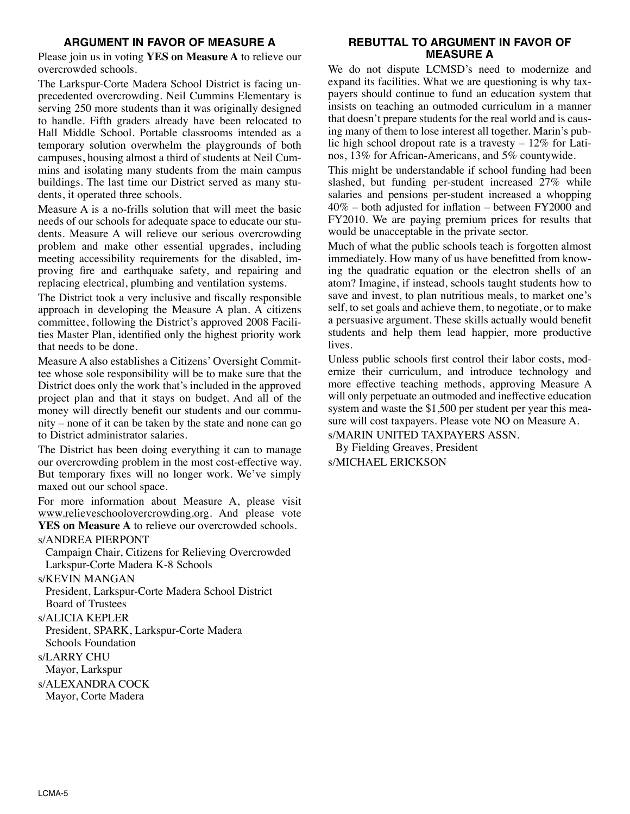# **ARGUMENT IN FAVOR OF MEASURE A**

Please join us in voting **YES on Measure A** to relieve our overcrowded schools.

The Larkspur-Corte Madera School District is facing unprecedented overcrowding. Neil Cummins Elementary is serving 250 more students than it was originally designed to handle. Fifth graders already have been relocated to Hall Middle School. Portable classrooms intended as a temporary solution overwhelm the playgrounds of both campuses, housing almost a third of students at Neil Cummins and isolating many students from the main campus buildings. The last time our District served as many students, it operated three schools.

Measure A is a no-frills solution that will meet the basic needs of our schools for adequate space to educate our students. Measure A will relieve our serious overcrowding problem and make other essential upgrades, including meeting accessibility requirements for the disabled, improving fire and earthquake safety, and repairing and replacing electrical, plumbing and ventilation systems.

The District took a very inclusive and fiscally responsible approach in developing the Measure A plan. A citizens committee, following the District's approved 2008 Facili ties Master Plan, identified only the highest priority work that needs to be done.

Measure A also establishes a Citizens' Oversight Committee whose sole responsibility will be to make sure that the District does only the work that's included in the approved project plan and that it stays on budget. And all of the money will directly benefit our students and our community – none of it can be taken by the state and none can go to District administrator salaries.

The District has been doing everything it can to manage our overcrowding problem in the most cost-effective way. But temporary fixes will no longer work. We've simply maxed out our school space.

For more information about Measure A, please visit www.relieveschoolovercrowding.org. And please vote YES on Measure A to relieve our overcrowded schools.

#### s/ANDREA PIERPONT

Campaign Chair, Citizens for Relieving Overcrowded Larkspur-Corte Madera K-8 Schools

#### s/KEVIN MANGAN

President, Larkspur-Corte Madera School District Board of Trustees

#### s/ALICIA KEPLER

President, SPARK, Larkspur-Corte Madera Schools Foundation s/LARRY CHU Mayor, Larkspur s/ALEXANDRA COCK

Mayor, Corte Madera

### **REBUTTAL TO ARGUMENT IN FAVOR OF MEASURE A**

We do not dispute LCMSD's need to modernize and expand its facilities. What we are questioning is why taxpayers should continue to fund an education system that insists on teaching an outmoded curriculum in a manner that doesn't prepare students for the real world and is causing many of them to lose interest all together. Marin's public high school dropout rate is a travesty  $-12\%$  for Latinos, 13% for African-Americans, and 5% countywide.

This might be understandable if school funding had been slashed, but funding per-student increased 27% while salaries and pensions per-student increased a whopping 40% – both adjusted for inflation – between FY2000 and FY2010. We are paying premium prices for results that would be unacceptable in the private sector.

Much of what the public schools teach is forgotten almost immediately. How many of us have benefitted from knowing the quadratic equation or the electron shells of an atom? Imagine, if instead, schools taught students how to save and invest, to plan nutritious meals, to market one's self, to set goals and achieve them, to negotiate, or to make a persuasive argument. These skills actually would benefit students and help them lead happier, more productive lives.

Unless public schools first control their labor costs, modernize their curriculum, and introduce technology and more effective teaching methods, approving Measure A will only perpetuate an outmoded and ineffective education system and waste the \$1,500 per student per year this measure will cost taxpayers. Please vote NO on Measure A. s/MARIN UNITED TAXPAYERS ASSN.

By Fielding Greaves, President s/MICHAEL ERICKSON